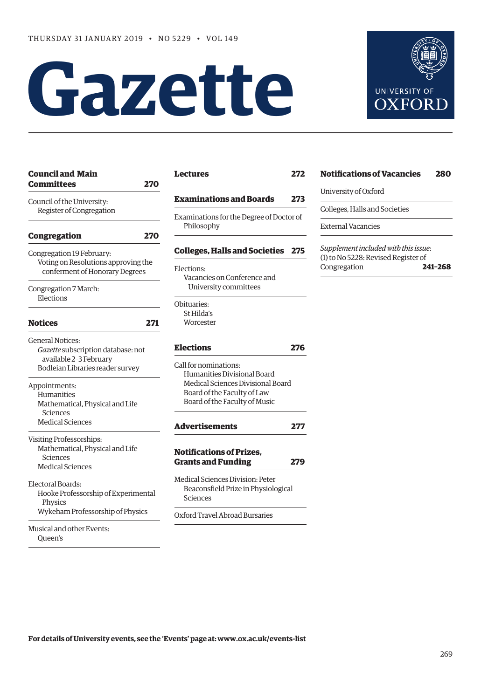# **Gazette**



| <b>Council and Main</b><br><b>Committees</b>                                                                                | 270 |
|-----------------------------------------------------------------------------------------------------------------------------|-----|
| Council of the University:<br>Register of Congregation                                                                      |     |
| <b>Congregation</b>                                                                                                         | 270 |
| Congregation 19 February:<br>Voting on Resolutions approving the<br>conferment of Honorary Degrees                          |     |
| Congregation 7 March:<br>Elections                                                                                          |     |
| <b>Notices</b>                                                                                                              | 271 |
| <b>General Notices:</b><br>Gazette subscription database: not<br>available 2-3 February<br>Bodleian Libraries reader survey |     |
| Appointments:<br>Humanities<br>Mathematical, Physical and Life<br>Sciences<br><b>Medical Sciences</b>                       |     |
| Visiting Professorships:<br>Mathematical, Physical and Life<br>Sciences<br><b>Medical Sciences</b>                          |     |
| Electoral Boards:<br>Hooke Professorship of Experimental<br>Physics<br>Wykeham Professorship of Physics                     |     |
| Musical and other Events:<br>Oueen's                                                                                        |     |

| <b>Lectures</b>                                        | 272 |
|--------------------------------------------------------|-----|
| <b>Examinations and Boards</b>                         | 273 |
| Examinations for the Degree of Doctor of<br>Philosophy |     |
| <b>Colleges, Halls and Societies</b>                   | 275 |
| Elections:                                             |     |
| Vacancies on Conference and                            |     |
| University committees                                  |     |
| Obituaries:                                            |     |
| St Hilda's                                             |     |
| Worcester                                              |     |
| <b>Elections</b>                                       | 276 |
| Call for nominations:                                  |     |
| Humanities Divisional Board                            |     |
| Medical Sciences Divisional Board                      |     |
| Board of the Faculty of Law                            |     |
| Board of the Faculty of Music                          |     |
| <b>Advertisements</b>                                  | 277 |
| <b>Notifications of Prizes,</b>                        |     |
| <b>Grants and Funding</b>                              | 279 |
| Medical Sciences Division: Peter                       |     |
| Beaconsfield Prize in Physiological<br>Sciences        |     |
| Oxford Travel Abroad Bursaries                         |     |

# **[Notifications of Vacancies 280](#page-11-0)**

University of Oxford

Colleges, Halls and Societies

External Vacancies

*Supplement included with this issue*: (1) to No 5228: Revised Register of Congregation **241–268**

**For details of University events, see the 'Events' page at: [www.ox.ac.uk/events-list](http://www.ox.ac.uk/events-list)**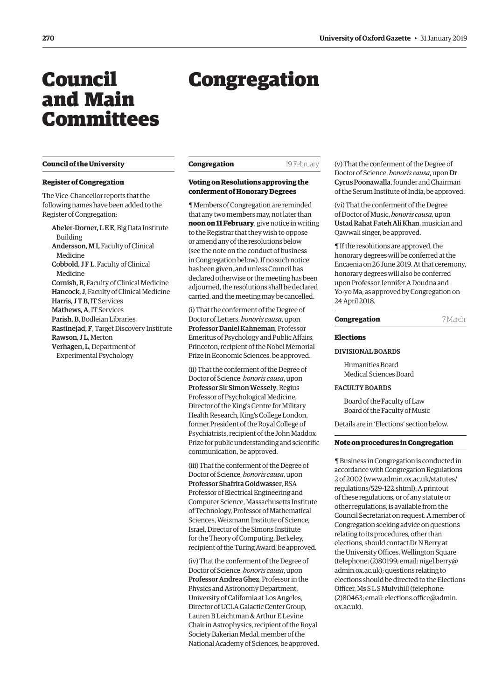# <span id="page-1-0"></span>Council and Main Committees

# Congregation

#### **Council of the University**

#### **Register of Congregation**

The Vice-Chancellor reports that the following names have been added to the Register of Congregation:

Abeler-Dorner, L E E, Big Data Institute Building Andersson, M I, Faculty of Clinical Medicine Cobbold, J F L, Faculty of Clinical Medicine Cornish, R, Faculty of Clinical Medicine Hancock, J, Faculty of Clinical Medicine Harris, J T B, IT Services Mathews, A, IT Services Parish, B, Bodleian Libraries Rastinejad, F, Target Discovery Institute Rawson, J L, Merton Verhagen, L, Department of Experimental Psychology

#### **Congregation** 19 February

# **Voting on Resolutions approving the conferment of Honorary Degrees**

¶ Members of Congregation are reminded that any two members may, not later than **noon on 11 February**, give notice in writing to the Registrar that they wish to oppose or amend any of the resolutions below (see the note on the conduct of business in Congregation below). If no such notice has been given, and unless Council has declared otherwise or the meeting has been adjourned, the resolutions shall be declared carried, and the meeting may be cancelled.

(i) That the conferment of the Degree of Doctor of Letters, *honoris causa*, upon Professor Daniel Kahneman, Professor Emeritus of Psychology and Public Affairs, Princeton, recipient of the Nobel Memorial Prize in Economic Sciences, be approved.

(ii) That the conferment of the Degree of Doctor of Science, *honoris causa*, upon Professor Sir Simon Wessely, Regius Professor of Psychological Medicine, Director of the King's Centre for Military Health Research, King's College London, former President of the Royal College of Psychiatrists, recipient of the John Maddox Prize for public understanding and scientific communication, be approved.

(iii) That the conferment of the Degree of Doctor of Science, *honoris causa*, upon Professor Shafrira Goldwasser, RSA Professor of Electrical Engineering and Computer Science, Massachusetts Institute of Technology, Professor of Mathematical Sciences, Weizmann Institute of Science, Israel, Director of the Simons Institute for the Theory of Computing, Berkeley, recipient of the Turing Award, be approved.

(iv) That the conferment of the Degree of Doctor of Science, *honoris causa*, upon Professor Andrea Ghez, Professor in the Physics and Astronomy Department, University of California at Los Angeles, Director of UCLA Galactic Center Group, Lauren B Leichtman & Arthur E Levine Chair in Astrophysics, recipient of the Royal Society Bakerian Medal, member of the National Academy of Sciences, be approved. (v) That the conferment of the Degree of Doctor of Science, *honoris causa*, upon Dr Cyrus Poonawalla, founder and Chairman of the Serum Institute of India, be approved.

(vi) That the conferment of the Degree of Doctor of Music, *honoris causa*, upon Ustad Rahat Fateh Ali Khan, musician and Qawwali singer, be approved.

¶ If the resolutions are approved, the honorary degrees will be conferred at the Encaenia on 26 June 2019. At that ceremony, honorary degrees will also be conferred upon Professor Jennifer A Doudna and Yo-yo Ma, as approved by Congregation on 24 April 2018.

# **Congregation** 7 March

#### **Elections**

#### DIVISIONAL BOARDS

Humanities Board Medical Sciences Board

#### FACULTY BOARDS

Board of the Faculty of Law Board of the Faculty of Music

Details are in 'Elections' section below.

# **Note on procedures in Congregation**

¶ Business in Congregation is conducted in accordance with Congregation Regulations 2 of 2002 [\(www.admin.ox.ac.uk/statutes/](http://www.admin.ox.ac.uk/statutes/regulations/529-122.shtml) [regulations/529-122.shtml\). A p](http://www.admin.ox.ac.uk/statutes/regulations/529-122.shtml)rintout of these regulations, or of any statute or other regulations, is available from the Council Secretariat on request. A member of Congregation seeking advice on questions relating to its procedures, other than elections, should contact Dr N Berry at the University Offices, Wellington Square [\(telephone: \(2\)80199; email: nigel.berry@](mailto:nigel.berry@admin.ox.ac.uk) admin.ox.ac.uk); questions relating to elections should be directed to the Elections Officer, Ms S L S Mulvihill (telephone: [\(2\)80463; email: elections.office@admin.](mailto:elections.office@admin.ox.ac.uk) ox.ac.uk).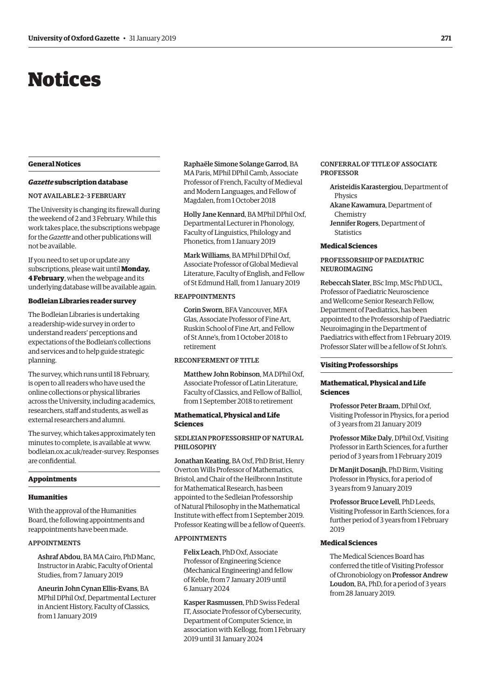# <span id="page-2-0"></span>Notices

# **General Notices**

# *Gazette* **subscription database**

#### NOT AVAILABLE 2–3 FEBRUARY

The University is changing its firewall during the weekend of 2 and 3 February. While this work takes place, the subscriptions webpage for the *Gazette* and other publications will not be available.

If you need to set up or update any subscriptions, please wait until **Monday, 4 February**, when the webpage and its underlying database will be available again.

#### **Bodleian Libraries reader survey**

The Bodleian Libraries is undertaking a readership-wide survey in order to understand readers' perceptions and expectations of the Bodleian's collections and services and to help guide strategic planning.

The survey, which runs until 18 February, is open to all readers who have used the online collections or physical libraries across the University, including academics, researchers, staff and students, as well as external researchers and alumni.

The survey, which takes approximately ten minutes to complete, is available at [www.](http://www.bodleian.ox.ac.uk/reader-survey) [bodleian.ox.ac.uk/reader-survey. Re](http://www.bodleian.ox.ac.uk/reader-survey)sponses are confidential.

#### **Appointments**

#### **Humanities**

With the approval of the Humanities Board, the following appointments and reappointments have been made.

# APPOINTMENTS

Ashraf Abdou, BA MA Cairo, PhD Manc, Instructor in Arabic, Faculty of Oriental Studies, from 7 January 2019

Aneurin John Cynan Ellis-Evans, BA MPhil DPhil Oxf, Departmental Lecturer in Ancient History, Faculty of Classics, from 1 January 2019

Raphaële Simone Solange Garrod, BA MA Paris, MPhil DPhil Camb, Associate Professor of French, Faculty of Medieval and Modern Languages, and Fellow of Magdalen, from 1 October 2018

Holly Jane Kennard, BA MPhil DPhil Oxf, Departmental Lecturer in Phonology, Faculty of Linguistics, Philology and Phonetics, from 1 January 2019

Mark Williams, BA MPhil DPhil Oxf, Associate Professor of Global Medieval Literature, Faculty of English, and Fellow of St Edmund Hall, from 1 January 2019

# REAPPOINTMENTS

Corin Sworn, BFA Vancouver, MFA Glas, Associate Professor of Fine Art, Ruskin School of Fine Art, and Fellow of St Anne's, from 1 October 2018 to retirement

# RECONFERMENT OF TITLE

Matthew John Robinson, MA DPhil Oxf Associate Professor of Latin Literature, Faculty of Classics, and Fellow of Balliol, from 1 September 2018 to retirement

# **Mathematical, Physical and Life Sciences**

# SEDLEIAN PROFESSORSHIP OF NATURAL PHILOSOPHY

Jonathan Keating, BA Oxf, PhD Brist, Henry Overton Wills Professor of Mathematics, Bristol, and Chair of the Heilbronn Institute for Mathematical Research, has been appointed to the Sedleian Professorship of Natural Philosophy in the Mathematical Institute with effect from 1 September 2019. Professor Keating will be a fellow of Queen's.

#### APPOINTMENTS

Felix Leach, PhD Oxf, Associate Professor of Engineering Science (Mechanical Engineering) and fellow of Keble, from 7 January 2019 until 6 January 2024

Kasper Rasmussen, PhD Swiss Federal IT, Associate Professor of Cybersecurity, Department of Computer Science, in association with Kellogg, from 1 February 2019 until 31 January 2024

# CONFERRAL OF TITLE OF ASSOCIATE PROFESSOR

Aristeidis Karastergiou, Department of Physics Akane Kawamura, Department of Chemistry Jennifer Rogers, Department of **Statistics** 

#### **Medical Sciences**

# PROFESSORSHIP OF PAEDIATRIC NEUROIMAGING

Rebeccah Slater, BSc Imp, MSc PhD UCL, Professor of Paediatric Neuroscience and Wellcome Senior Research Fellow, Department of Paediatrics, has been appointed to the Professorship of Paediatric Neuroimaging in the Department of Paediatrics with effect from 1 February 2019. Professor Slater will be a fellow of St John's.

#### **Visiting Professorships**

# **Mathematical, Physical and Life Sciences**

Professor Peter Braam, DPhil Oxf, Visiting Professor in Physics, for a period of 3 years from 21 January 2019

Professor Mike Daly, DPhil Oxf, Visiting Professor in Earth Sciences, for a further period of 3 years from 1 February 2019

Dr Manjit Dosanjh, PhD Birm, Visiting Professor in Physics, for a period of 3 years from 9 January 2019

Professor Bruce Levell, PhD Leeds, Visiting Professor in Earth Sciences, for a further period of 3 years from 1 February 2019

# **Medical Sciences**

The Medical Sciences Board has conferred the title of Visiting Professor of Chronobiology on Professor Andrew Loudon, BA, PhD, for a period of 3 years from 28 January 2019.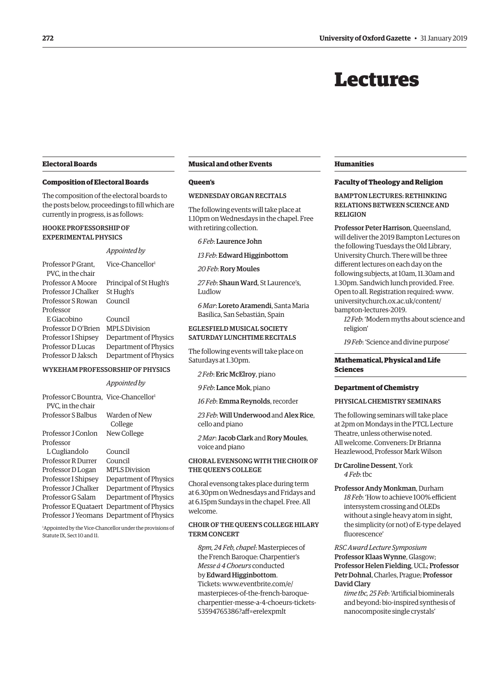# Lectures

# <span id="page-3-0"></span>**Electoral Boards**

# **Composition of Electoral Boards**

The composition of the electoral boards to the posts below, proceedings to fill which are currently in progress, is as follows:

### HOOKE PROFESSORSHIP OF EXPERIMENTAL PHYSICS

#### *Appointed by*

Professor P Grant, Vice-Chancellor<sup>1</sup> PVC, in the chair Professor A Moore Principal of St Hugh's Professor J Chalker St Hugh's Professor S Rowan Council Professor E Giacobino Council Professor D O'Brien MPLS Division Professor I Shipsey Department of Physics Professor D Lucas Department of Physics Professor D Jaksch Department of Physics

#### WYKEHAM PROFESSORSHIP OF PHYSICS

#### *Appointed by*

Professor C Bountra, Vice-Chancellor<sup>1</sup> PVC, in the chair Professor S Balbus Warden of New College Professor J Conlon New College Professor L Cugliandolo Council Professor R Durrer Council Professor D Logan MPLS Division Professor I Shipsey Department of Physics Professor J Chalker Department of Physics Professor G Salam Department of Physics Professor E Quataert Department of Physics Professor J Yeomans Department of Physics

1 Appointed by the Vice-Chancellor under the provisions of Statute IX, Sect 10 and 11.

#### **Musical and other Events**

#### **Queen's**

# WEDNESDAY ORGAN RECITALS

The following events will take place at 1.10pm on Wednesdays in the chapel. Free with retiring collection.

*6 Feb*: Laurence John

*13 Feb*: Edward Higginbottom

*20 Feb*: Rory Moules

*27 Feb*: Shaun Ward, St Laurence's, Ludlow

*6 Mar*: Loreto Aramendi, Santa Maria Basilica, San Sebastián, Spain

# EGLESFIELD MUSICAL SOCIETY SATURDAY LUNCHTIME RECITALS

The following events will take place on Saturdays at 1.30pm.

*2 Feb*: Eric McElroy, piano

*9 Feb*: Lance Mok, piano

*16 Feb*: Emma Reynolds, recorder

*23 Feb*: Will Underwood and Alex Rice, cello and piano

*2 Mar*: Jacob Clark and Rory Moules, voice and piano

# CHORAL EVENSONG WITH THE CHOIR OF THE QUEEN'S COLLEGE

Choral evensong takes place during term at 6.30pm on Wednesdays and Fridays and at 6.15pm Sundays in the chapel. Free. All welcome.

# CHOIR OF THE QUEEN'S COLLEGE HILARY TERM CONCERT

*8pm, 24 Feb, chapel*: Masterpieces of the French Baroque: Charpentier's *Messe á 4 Choeurs* conducted by Edward Higginbottom. Tickets: www.eventbrite.com/e/ masterpieces-of-the-french-baroque[charpentier-messe-a-4-choeurs-tickets-](www.eventbrite.com/e/masterpieces-of-the-french-baroque-charpentier-messe-a-4-choeurs-tickets-53594765386?aff=erelexpmlt)53594765386?aff=erelexpmlt

### **Humanities**

### **Faculty of Theology and Religion**

BAMPTON LECTURES: RETHINKING RELATIONS BETWEEN SCIENCE AND RELIGION

Professor Peter Harrison, Queensland, will deliver the 2019 Bampton Lectures on the following Tuesdays the Old Library, University Church. There will be three different lectures on each day on the following subjects, at 10am, 11.30am and 1.30pm. Sandwich lunch provided. Free. [Open to all. Registration required: www.](www.universitychurch.ox.ac.uk/content/bampton-lectures-2019) universitychurch.ox.ac.uk/content/ bampton-lectures-2019.

*12 Feb*: 'Modern myths about science and religion'

*19 Feb*: 'Science and divine purpose'

# **Mathematical, Physical and Life Sciences**

#### **Department of Chemistry**

#### PHYSICAL CHEMISTRY SEMINARS

The following seminars will take place at 2pm on Mondays in the PTCL Lecture Theatre, unless otherwise noted. All welcome. Conveners: Dr Brianna Heazlewood, Professor Mark Wilson

Dr Caroline Dessent, York *4 Feb*: tbc

Professor Andy Monkman, Durham *18 Feb*: 'How to achieve 100% efficient intersystem crossing and OLEDs without a single heavy atom in sight, the simplicity (or not) of E-type delayed fluorescence'

*RSC Award Lecture Symposium*  Professor Klaas Wynne, Glasgow; Professor Helen Fielding, UCL; Professor Petr Dohnal, Charles, Prague; Professor David Clary

*time tbc, 25 Feb*: 'Artificial biominerals and beyond: bio-inspired synthesis of nanocomposite single crystals'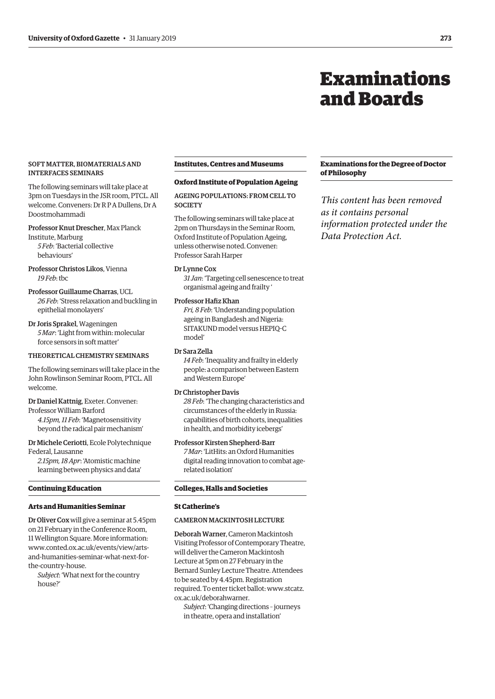# Examinations and Boards

# <span id="page-4-0"></span>SOFT MATTER, BIOMATERIALS AND INTERFACES SEMINARS

The following seminars will take place at 3pm on Tuesdays in the JSR room, PTCL. All welcome. Conveners: Dr R P A Dullens, Dr A Doostmohammadi

# Professor Knut Drescher, Max Planck

Institute, Marburg *5 Feb*: 'Bacterial collective behaviours'

Professor Christos Likos, Vienna *19 Feb*: tbc

# Professor Guillaume Charras, UCL *26 Feb*: 'Stress relaxation and buckling in epithelial monolayers'

Dr Joris Sprakel, Wageningen *5 Mar*: 'Light from within: molecular force sensors in soft matter'

# THEORETICAL CHEMISTRY SEMINARS

The following seminars will take place in the John Rowlinson Seminar Room, PTCL. All welcome.

# Dr Daniel Kattnig, Exeter. Convener:

Professor William Barford *4.15pm, 11 Feb*: 'Magnetosensitivity beyond the radical pair mechanism'

Dr Michele Ceriotti, Ecole Polytechnique Federal, Lausanne

*2.15pm, 18 Apr*: 'Atomistic machine learning between physics and data'

#### **Continuing Education**

# **Arts and Humanities Seminar**

Dr Oliver Cox will give a seminar at 5.45pm on 21 February in the Conference Room, 11 Wellington Square. More information: www.conted.ox.ac.uk/events/view/arts[and-humanities-seminar-what-next-for](www.contend.ox.ac.uk/events/view/arts-and-humanities-seminar-what-next-for-the-country-house)the-country-house.

*Subject*: 'What next for the country house?'

# **Institutes, Centres and Museums**

## **Oxford Institute of Population Ageing**

AGEING POPULATIONS: FROM CELL TO **SOCIETY** 

The following seminars will take place at 2pm on Thursdays in the Seminar Room, Oxford Institute of Population Ageing, unless otherwise noted. Convener: Professor Sarah Harper

# Dr Lynne Cox

*31 Jan*: 'Targeting cell senescence to treat organismal ageing and frailty '

#### Professor Hafiz Khan

*Fri, 8 Feb*: 'Understanding population ageing in Bangladesh and Nigeria: SITAKUND model versus HEPIQ-C model'

# Dr Sara Zella

*14 Feb*: 'Inequality and frailty in elderly people: a comparison between Eastern and Western Europe'

# Dr Christopher Davis

*28 Feb*: 'The changing characteristics and circumstances of the elderly in Russia: capabilities of birth cohorts, inequalities in health, and morbidity icebergs'

# Professor Kirsten Shepherd-Barr

*7 Mar*: 'LitHits: an Oxford Humanities digital reading innovation to combat agerelated isolation'

# **Colleges, Halls and Societies**

# **St Catherine's**

# CAMERON MACKINTOSH LECTURE

Deborah Warner, Cameron Mackintosh Visiting Professor of Contemporary Theatre, will deliver the Cameron Mackintosh Lecture at 5pm on 27 February in the Bernard Sunley Lecture Theatre. Attendees to be seated by 4.45pm. Registration [required. To enter ticket ballot: www.stcatz.](www.stcatz.ox.ac.uk/deborahwarner) ox.ac.uk/deborahwarner.

*Subject*: 'Changing directions – journeys in theatre, opera and installation'

# **Examinations for the Degree of Doctor of Philosophy**

*This content has been removed as it contains personal information protected under the Data Protection Act.*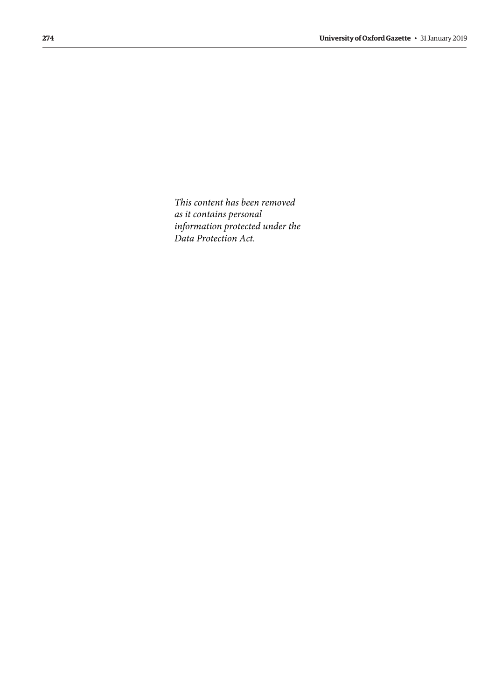*This content has been removed as it contains personal information protected under the Data Protection Act.*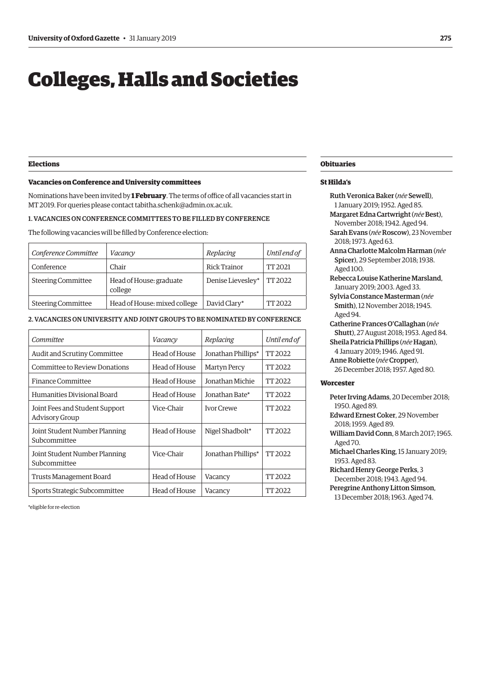# <span id="page-6-0"></span>Colleges, Halls and Societies

# **Elections**

# **Vacancies on Conference and University committees**

Nominations have been invited by **1 February**. The terms of office of all vacancies start in MT 2019. For queries please contact [tabitha.schenk@admin.ox.ac.uk.](mailto:tabitha.schenk@admin.ox.ac.uk)

# 1. VACANCIES ON CONFERENCE COMMITTEES TO BE FILLED BY CONFERENCE

The following vacancies will be filled by Conference election:

| Conference Committee      | Vacancy                            | Replacing         | Until end of |
|---------------------------|------------------------------------|-------------------|--------------|
| Conference                | Chair                              | Rick Trainor      | TT 2021      |
| <b>Steering Committee</b> | Head of House: graduate<br>college | Denise Lievesley* | TT 2022      |
| <b>Steering Committee</b> | Head of House: mixed college       | David Clary*      | TT 2022      |

# 2. VACANCIES ON UNIVERSITY AND JOINT GROUPS TO BE NOMINATED BY CONFERENCE

| Committee                                               | Vacancy       | Replacing           | Until end of |
|---------------------------------------------------------|---------------|---------------------|--------------|
| Audit and Scrutiny Committee                            | Head of House | Jonathan Phillips*  | TT 2022      |
| Committee to Review Donations                           | Head of House | <b>Martyn Percy</b> | TT 2022      |
| Finance Committee                                       | Head of House | Jonathan Michie     | TT 2022      |
| Humanities Divisional Board                             | Head of House | Jonathan Bate*      | TT 2022      |
| Joint Fees and Student Support<br><b>Advisory Group</b> | Vice-Chair    | <b>Ivor Crewe</b>   | TT 2022      |
| Joint Student Number Planning<br>Subcommittee           | Head of House | Nigel Shadbolt*     | TT 2022      |
| Joint Student Number Planning<br>Subcommittee           | Vice-Chair    | Jonathan Phillips*  | TT 2022      |
| Trusts Management Board                                 | Head of House | Vacancy             | TT 2022      |
| Sports Strategic Subcommittee                           | Head of House | Vacancy             | TT 2022      |

\*eligible for re-election

# **Obituaries**

# **St Hilda's**

Ruth Veronica Baker (*née* Sewell), 1 January 2019; 1952. Aged 85. Margaret Edna Cartwright (*née*Best), November 2018; 1942. Aged 94. Sarah Evans (*née* Roscow), 23 November 2018; 1973. Aged 63. Anna Charlotte Malcolm Harman (*née* Spicer), 29 September 2018; 1938. Aged 100. Rebecca Louise Katherine Marsland, January 2019; 2003. Aged 33. Sylvia Constance Masterman (*née* Smith), 12 November 2018; 1945. Aged 94. Catherine Frances O'Callaghan (*née* Shutt), 27 August 2018; 1953. Aged 84. Sheila Patricia Phillips (*née* Hagan), 4 January 2019; 1946. Aged 91. Anne Robiette (*née*Cropper), 26 December 2018; 1957. Aged 80.

### **Worcester**

| Peter Irving Adams, 20 December 2018;   |
|-----------------------------------------|
| 1950. Aged 89.                          |
| <b>Edward Ernest Coker. 29 November</b> |
| 2018; 1959. Aged 89.                    |
| William David Conn, 8 March 2017; 1965. |
| Aged 70.                                |
| Michael Charles King, 15 January 2019;  |
| 1953. Aged 83.                          |
| Richard Henry George Perks, 3           |

December 2018; 1943. Aged 94.

Peregrine Anthony Litton Simson,

13 December 2018; 1963. Aged 74.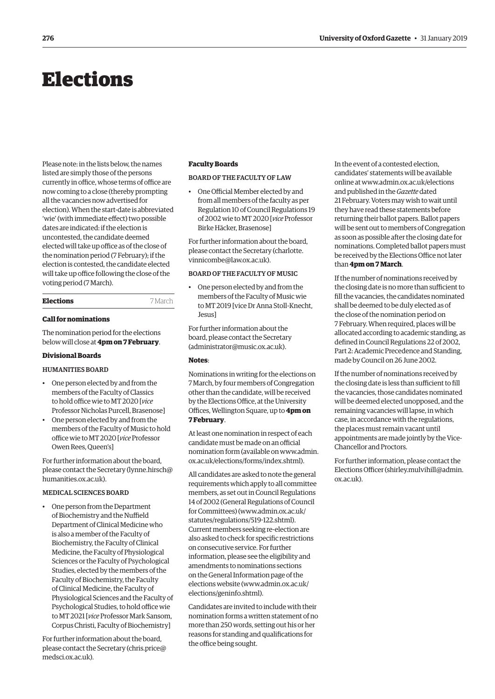# <span id="page-7-0"></span>Elections

Please note: in the lists below, the names listed are simply those of the persons currently in office, whose terms of office are now coming to a close (thereby prompting all the vacancies now advertised for election). When the start-date is abbreviated 'wie' (with immediate effect) two possible dates are indicated: if the election is uncontested, the candidate deemed elected will take up office as of the close of the nomination period (7 February); if the election is contested, the candidate elected will take up office following the close of the voting period (7 March).

| <b>Elections</b> |  |  |
|------------------|--|--|
|------------------|--|--|

### **Call for nominations**

The nomination period for the elections below will close at **4pm on 7 February**.

## **Divisional Boards**

# HUMANITIES BOARD

- One person elected by and from the members of the Faculty of Classics to hold office wie to MT 2020 [*vice* Professor Nicholas Purcell, Brasenose]
- One person elected by and from the members of the Faculty of Music to hold office wie to MT 2020 [*vice* Professor Owen Rees, Queen's]

For further information about the board, please contact the Secretary [\(lynne.hirsch@](mailto:lynne.hirsch@humanities.ox.ac.uk) [humanities.ox.ac.uk\).](mailto:lynne.hirsch@humanities.ox.ac.uk)

# MEDICAL SCIENCES BOARD

• One person from the Department of Biochemistry and the Nuffield Department of Clinical Medicine who is also a member of the Faculty of Biochemistry, the Faculty of Clinical Medicine, the Faculty of Physiological Sciences or the Faculty of Psychological Studies, elected by the members of the Faculty of Biochemistry, the Faculty of Clinical Medicine, the Faculty of Physiological Sciences and the Faculty of Psychological Studies, to hold office wie to MT 2021 [*vice* Professor Mark Sansom, Corpus Christi, Faculty of Biochemistry]

For further information about the board, please contact the Secretary [\(chris.price@](mailto:chris.price@medsci.ox.ac.uk) [medsci.ox.ac.uk\).](mailto:chris.price@medsci.ox.ac.uk)

# **Faculty Boards**

# BOARD OF THE FACULTY OF LAW

• One Official Member elected by and from all members of the faculty as per Regulation 10 of Council Regulations 19 of 2002 wie to MT 2020 [*vice* Professor Birke Häcker, Brasenose]

For further information about the board, [please contact the Secretary \(charlotte.](mailto:charlotte.vinnicombe@law.ox.ac.uk) vinnicombe@law.ox.ac.uk).

# BOARD OF THE FACULTY OF MUSIC

• One person elected by and from the members of the Faculty of Music wie to MT 2019 [vice Dr Anna Stoll-Knecht, Jesus]

For further information about the board, please contact the Secretary [\(administrator@music.ox.ac.uk\).](mailto:administrator@music.ox.ac.uk)

# **Notes**:

**Elections** 7 March

Nominations in writing for the elections on 7 March, by four members of Congregation other than the candidate, will be received by the Elections Office, at the University Offices, Wellington Square, up to **4pm on 7 February**.

At least one nomination in respect of each candidate must be made on an official [nomination form \(available on www.admin.](www.admin.ox.ac.uk/elections/forms/index.shtml) ox.ac.uk/elections/forms/index.shtml).

All candidates are asked to note the general requirements which apply to all committee members, as set out in Council Regulations 14 of 2002 (General Regulations of Council for Committees) [\(www.admin.ox.ac.uk/](http://www.admin.ox.ac.uk/statutes/regulations/519-122.shtml) [statutes/regulations/519-122.shtml\).](http://www.admin.ox.ac.uk/statutes/regulations/519-122.shtml)  Current members seeking re-election are also asked to check for specific restrictions on consecutive service. For further information, please see the eligibility and amendments to nominations sections on the General Information page of the elections website ([www.admin.ox.ac.uk/](http://www.admin.ox.ac.uk/elections/geninfo.shtml) [elections/geninfo.shtml\).](http://www.admin.ox.ac.uk/elections/geninfo.shtml)

Candidates are invited to include with their nomination forms a written statement of no more than 250 words, setting out his or her reasons for standing and qualifications for the office being sought.

In the event of a contested election, candidates' statements will be available online at [www.admin.ox.ac.uk/elections](http://www.admin.ox.ac.uk/elections)  and published in the *Gazette* dated 21 February. Voters may wish to wait until they have read these statements before returning their ballot papers. Ballot papers will be sent out to members of Congregation as soon as possible after the closing date for nominations. Completed ballot papers must be received by the Elections Office not later than **4pm on 7 March**.

If the number of nominations received by the closing date is no more than sufficient to fill the vacancies, the candidates nominated shall be deemed to be duly elected as of the close of the nomination period on 7 February. When required, places will be allocated according to academic standing, as defined in Council Regulations 22 of 2002, Part 2: Academic Precedence and Standing, made by Council on 26 June 2002.

If the number of nominations received by the closing date is less than sufficient to fill the vacancies, those candidates nominated will be deemed elected unopposed, and the remaining vacancies will lapse, in which case, in accordance with the regulations, the places must remain vacant until appointments are made jointly by the Vice-Chancellor and Proctors.

For further information, please contact the Elections Officer [\(shirley.mulvihill@admin.](mailto:shirley.mulvihill@admin.ox.ac.uk) [ox.ac.uk\).](mailto:shirley.mulvihill@admin.ox.ac.uk)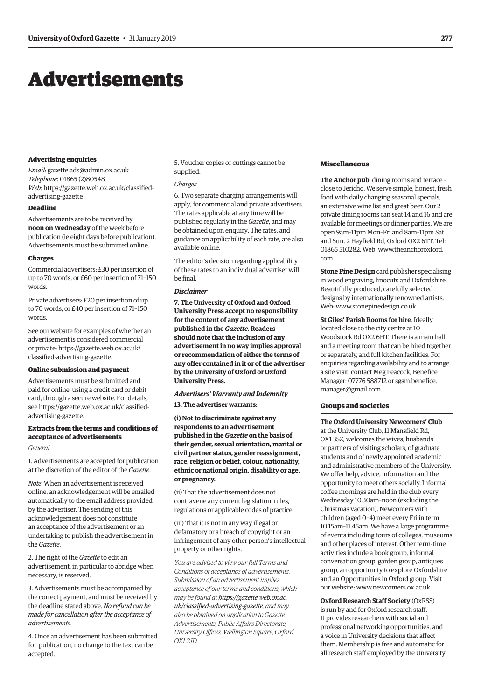# <span id="page-8-0"></span>Advertisements

#### **Advertising enquiries**

*Email*: [gazette.ads@admin.ox.ac.uk](mailto:gazette.ads@admin.ox.ac.uk) *Telephone*: 01865 (2)80548 *Web*[: https://gazette.web.ox.ac.uk/classified](https://gazette.web.ox.ac.uk/classified-advertising-gazette)advertising-gazette

# **Deadline**

Advertisements are to be received by **noon on Wednesday** of the week before publication (ie eight days before publication). Advertisements must be submitted online.

#### **Charges**

Commercial advertisers: £30 per insertion of up to 70 words, or £60 per insertion of 71–150 words.

Private advertisers: £20 per insertion of up to 70 words, or £40 per insertion of 71–150 words.

See our website for examples of whether an advertisement is considered commercial [or private: https://gazette.web.ox.ac.uk/](https://gazette.web.ox.ac.uk/classified-advertising-gazette) classified-advertising-gazette.

#### **Online submission and payment**

Advertisements must be submitted and paid for online, using a credit card or debit card, through a secure website. For details, [see https://gazette.web.ox.ac.uk/classified](https://gazette.web.ox.ac.uk/classified-advertising-gazette)advertising-gazette.

# **Extracts from the terms and conditions of acceptance of advertisements**

#### *General*

1. Advertisements are accepted for publication at the discretion of the editor of the *Gazette*.

*Note*. When an advertisement is received online, an acknowledgement will be emailed automatically to the email address provided by the advertiser. The sending of this acknowledgement does not constitute an acceptance of the advertisement or an undertaking to publish the advertisement in the *Gazette*.

2. The right of the *Gazette* to edit an advertisement, in particular to abridge when necessary, is reserved.

3. Advertisements must be accompanied by the correct payment, and must be received by the deadline stated above. *No refund can be made for cancellation after the acceptance of advertisements*.

4. Once an advertisement has been submitted for publication, no change to the text can be accepted.

5. Voucher copies or cuttings cannot be supplied.

#### *Charges*

6. Two separate charging arrangements will apply, for commercial and private advertisers. The rates applicable at any time will be published regularly in the *Gazette*, and may be obtained upon enquiry. The rates, and guidance on applicability of each rate, are also available online.

The editor's decision regarding applicability of these rates to an individual advertiser will be final.

#### *Disclaimer*

**7. The University of Oxford and Oxford University Press accept no responsibility for the content of any advertisement published in the** *Gazette***. Readers should note that the inclusion of any advertisement in no way implies approval or recommendation of either the terms of any offer contained in it or of the advertiser by the University of Oxford or Oxford University Press.**

#### *Advertisers' Warranty and Indemnity*

**13. The advertiser warrants:**

**(i) Not to discriminate against any respondents to an advertisement published in the** *Gazette* **on the basis of their gender, sexual orientation, marital or civil partner status, gender reassignment, race, religion or belief, colour, nationality, ethnic or national origin, disability or age, or pregnancy.**

(ii) That the advertisement does not contravene any current legislation, rules, regulations or applicable codes of practice.

(iii) That it is not in any way illegal or defamatory or a breach of copyright or an infringement of any other person's intellectual property or other rights.

*You are advised to view our full Terms and Conditions of acceptance of advertisements. Submission of an advertisement implies acceptance of our terms and conditions, which may be found at https://gazette.web.ox.ac. [uk/classified-advertising-gazette](https://gazette.web.ox.ac.uk/classified-advertising-gazette), and may also be obtained on application to Gazette Advertisements, Public Affairs Directorate, University Offices, Wellington Square, Oxford OX1 2JD.*

# **Miscellaneous**

**The Anchor pub**, dining rooms and terrace – close to Jericho. We serve simple, honest, fresh food with daily changing seasonal specials, an extensive wine list and great beer. Our 2 private dining rooms can seat 14 and 16 and are available for meetings or dinner parties. We are open 9am–11pm Mon–Fri and 8am–11pm Sat and Sun. 2 Hayfield Rd, Oxford OX2 6TT. Tel: [01865 510282. Web: www.theanchoroxford.](www.theanchoroxford.com) com.

**Stone Pine Design** card publisher specialising in wood engraving, linocuts and Oxfordshire. Beautifully produced, carefully selected designs by internationally renowned artists. Web: [www.stonepinedesign.co.uk.](http://www.stonepinedesign.co.uk)

**St Giles' Parish Rooms for hire**. Ideally located close to the city centre at 10 Woodstock Rd OX2 6HT. There is a main hall and a meeting room that can be hired together or separately, and full kitchen facilities. For enquiries regarding availability and to arrange a site visit, contact Meg Peacock, Benefice [Manager: 07776 588712 or sgsm.benefice.](mailto:sgsm.benefice.manager@gmail.com) manager@gmail.com.

# **Groups and societies**

# **The Oxford University Newcomers' Club**

at the University Club, 11 Mansfield Rd, OX1 3SZ, welcomes the wives, husbands or partners of visiting scholars, of graduate students and of newly appointed academic and administrative members of the University. We offer help, advice, information and the opportunity to meet others socially. Informal coffee mornings are held in the club every Wednesday 10.30am–noon (excluding the Christmas vacation). Newcomers with children (aged 0–4) meet every Fri in term 10.15am–11.45am. We have a large programme of events including tours of colleges, museums and other places of interest. Other term-time activities include a book group, informal conversation group, garden group, antiques group, an opportunity to explore Oxfordshire and an Opportunities in Oxford group. Visit our website: [www.newcomers.ox.ac.uk.](http://www.newcomers.ox.ac.uk) 

**Oxford Research Staff Society** (OxRSS) is run by and for Oxford research staff. It provides researchers with social and professional networking opportunities, and a voice in University decisions that affect them. Membership is free and automatic for all research staff employed by the University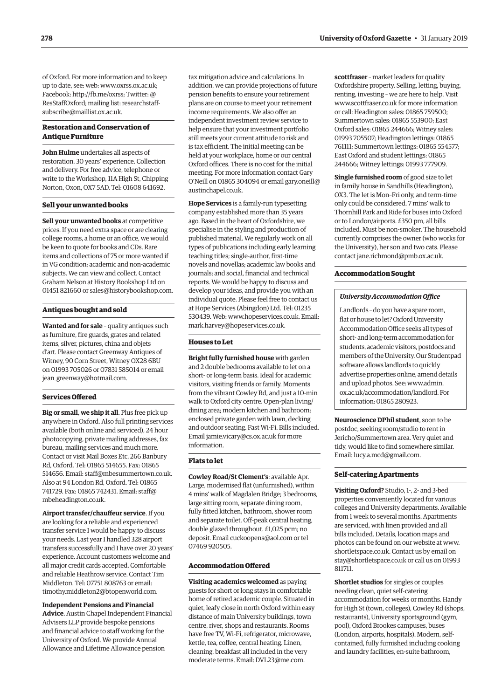of Oxford. For more information and to keep up to date, see: web: [www.oxrss.ox.ac.uk;](http://www.oxrss.ox.ac.uk)  Facebook: [http://fb.me/oxrss; Tw](http://fb.me/oxrss)itter: @ [ResStaffOxford; mailing list: researchstaff](mailto:researchstaff-subscribe@maillist.ox.ac.uk)subscribe@maillist.ox.ac.uk.

# **Restoration and Conservation of Antique Furniture**

**John Hulme** undertakes all aspects of restoration. 30 years' experience. Collection and delivery. For free advice, telephone or write to the Workshop, 11A High St, Chipping Norton, Oxon, OX7 5AD. Tel: 01608 641692.

# **Sell your unwanted books**

**Sell your unwanted books** at competitive prices. If you need extra space or are clearing college rooms, a home or an office, we would be keen to quote for books and CDs. Rare items and collections of 75 or more wanted if in VG condition; academic and non-academic subjects. We can view and collect. Contact Graham Nelson at History Bookshop Ltd on 01451 821660 or [sales@historybookshop.com.](mailto:sales@historybookshop.com)

# **Antiques bought and sold**

**Wanted and for sale** – quality antiques such as furniture, fire guards, grates and related items, silver, pictures, china and objets d'art. Please contact Greenway Antiques of Witney, 90 Corn Street, Witney OX28 6BU on 01993 705026 or 07831 585014 or email [jean\\_greenway@hotmail.com.](mailto:jean_greenway@hotmail.com)

# **Services Offered**

**Big or small, we ship it all**. Plus free pick up anywhere in Oxford. Also full printing services available (both online and serviced), 24 hour photocopying, private mailing addresses, fax bureau, mailing services and much more. Contact or visit Mail Boxes Etc, 266 Banbury Rd, Oxford. Tel: 01865 514655. Fax: 01865 514656. Email: [staff@mbesummertown.co.uk.](mailto:staff@mbesummertown.co.uk)  Also at 94 London Rd, Oxford. Tel: 01865 [741729. Fax: 01865 742431. Email: staff@](mailto:staff@mbeheadington.co.uk) mbeheadington.co.uk.

**Airport transfer/chauffeur service**. If you are looking for a reliable and experienced transfer service I would be happy to discuss your needs. Last year I handled 328 airport transfers successfully and I have over 20 years' experience. Account customers welcome and all major credit cards accepted. Comfortable and reliable Heathrow service. Contact Tim Middleton. Tel: 07751 808763 or email: [timothy.middleton2@btopenworld.com.](mailto:timothy.middleton2@btopenworld.com)

#### **Independent Pensions and Financial**

**Advice**. Austin Chapel Independent Financial Advisers LLP provide bespoke pensions and financial advice to staff working for the University of Oxford. We provide Annual Allowance and Lifetime Allowance pension

tax mitigation advice and calculations. In addition, we can provide projections of future pension benefits to ensure your retirement plans are on course to meet your retirement income requirements. We also offer an independent investment review service to help ensure that your investment portfolio still meets your current attitude to risk and is tax efficient. The initial meeting can be held at your workplace, home or our central Oxford offices. There is no cost for the initial meeting. For more information contact Gary [O'Neill on 01865 304094 or email gary.oneill@](mailto:gary.oneill@austinchapel.co.uk) austinchapel.co.uk.

**Hope Services** is a family-run typesetting company established more than 35 years ago. Based in the heart of Oxfordshire, we specialise in the styling and production of published material. We regularly work on all types of publications including early learning teaching titles; single-author, first-time novels and novellas; academic law books and journals; and social, financial and technical reports. We would be happy to discuss and develop your ideas, and provide you with an individual quote. Please feel free to contact us at Hope Services (Abingdon) Ltd. Tel: 01235 530439. Web: [www.hopeservices.co.uk. Em](http://www.hopeservices.co.uk)ail: [mark.harvey@hopeservices.co.uk.](mailto:mark.harvey@hopeservices.co.uk)

# **Houses to Let**

**Bright fully furnished house** with garden and 2 double bedrooms available to let on a short- or long-term basis. Ideal for academic visitors, visiting friends or family. Moments from the vibrant Cowley Rd, and just a 10-min walk to Oxford city centre. Open-plan living/ dining area; modern kitchen and bathroom; enclosed private garden with lawn, decking and outdoor seating. Fast Wi-Fi. Bills included. Email [jamie.vicary@cs.ox.ac.uk for](mailto:jamie.vicary@cs.ox.ac.uk) more information.

# **Flats to let**

**Cowley Road/St Clement's**: available Apr. Large, modernised flat (unfurnished), within 4 mins' walk of Magdalen Bridge; 3 bedrooms, large sitting room, separate dining room, fully fitted kitchen, bathroom, shower room and separate toilet. Off-peak central heating, double glazed throughout. £1,025 pcm; no deposit. Email [cuckoopens@aol.com or](mailto:cuckoopens@aol.com) tel 07469 920505.

#### **Accommodation Offered**

**Visiting academics welcomed** as paying guests for short or long stays in comfortable home of retired academic couple. Situated in quiet, leafy close in north Oxford within easy distance of main University buildings, town centre, river, shops and restaurants. Rooms have free TV, Wi-Fi, refrigerator, microwave, kettle, tea, coffee, central heating. Linen, cleaning, breakfast all included in the very moderate terms. Email: [DVL23@me.com.](mailto:DVL23@me.com)

**scottfraser** – market leaders for quality Oxfordshire property. Selling, letting, buying, renting, investing – we are here to help. Visit [www.scottfraser.co.uk for](http://www.scottfraser.co.uk) more information or call: Headington sales: 01865 759500; Summertown sales: 01865 553900; East Oxford sales: 01865 244666; Witney sales: 01993 705507; Headington lettings: 01865 761111; Summertown lettings: 01865 554577; East Oxford and student lettings: 01865 244666; Witney lettings: 01993 777909.

**Single furnished room** of good size to let in family house in Sandhills (Headington), OX3. The let is Mon–Fri only, and term-time only could be considered. 7 mins' walk to Thornhill Park and Ride for buses into Oxford or to London/airports. £350 pm, all bills included. Must be non-smoker. The household currently comprises the owner (who works for the University), her son and two cats. Please contact [jane.richmond@pmb.ox.ac.uk.](mailto:jane.richmond@pmb.ox.ac.uk)

# **Accommodation Sought**

# *University Accommodation Office*

Landlords – do you have a spare room, flat or house to let? Oxford University Accommodation Office seeks all types of short- and long-term accommodation for students, academic visitors, postdocs and members of the University. Our Studentpad software allows landlords to quickly advertise properties online, amend details and upload photos. See: www.admin. [ox.ac.uk/accommodation/landlord. For](www.admin.ox.ac.uk/accommodation/landlord)  information: 01865 280923.

**Neuroscience DPhil student**, soon to be postdoc, seeking room/studio to rent in Jericho/Summertown area. Very quiet and tidy, would like to find somewhere similar. Email: [lucy.a.mcd@gmail.com.](mailto:lucy.a.mcd@gmail.com)

# **Self-catering Apartments**

**Visiting Oxford?** Studio, 1-, 2- and 3-bed properties conveniently located for various colleges and University departments. Available from 1 week to several months. Apartments are serviced, with linen provided and all bills included. Details, location maps and photos can be found on our website at [www.](http://www.shortletspace.co.uk) [shortletspace.co.uk. Co](http://www.shortletspace.co.uk)ntact us by email on [stay@shortletspace.co.uk or](mailto:stay@shortletspace.co.uk) call us on 01993 811711.

**Shortlet studios** for singles or couples needing clean, quiet self-catering accommodation for weeks or months. Handy for High St (town, colleges), Cowley Rd (shops, restaurants), University sportsground (gym, pool), Oxford Brookes campuses, buses (London, airports, hospitals). Modern, selfcontained, fully furnished including cooking and laundry facilities, en-suite bathroom,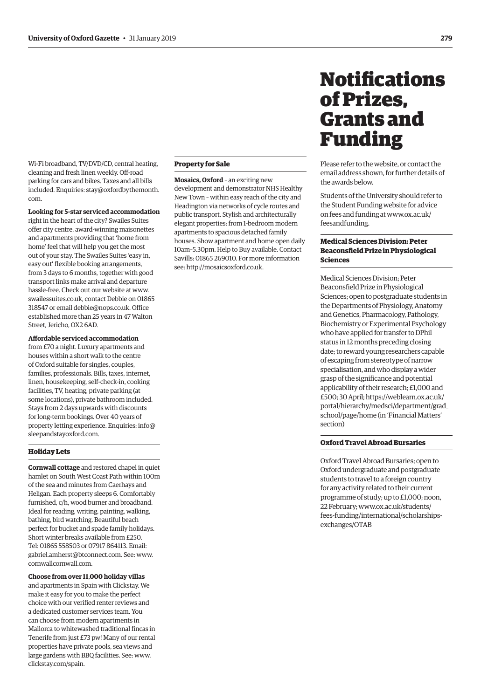<span id="page-10-0"></span>Wi-Fi broadband, TV/DVD/CD, central heating, cleaning and fresh linen weekly. Off-road parking for cars and bikes. Taxes and all bills [included. Enquiries: stay@oxfordbythemonth.](mailto:stay@oxfordbythemonth.com) com.

#### **Looking for 5-star serviced accommodation**

right in the heart of the city? Swailes Suites offer city centre, award-winning maisonettes and apartments providing that 'home from home' feel that will help you get the most out of your stay. The Swailes Suites 'easy in, easy out' flexible booking arrangements, from 3 days to 6 months, together with good transport links make arrival and departure hassle-free. Check out our website at [www.](http://www.swailessuites.co.uk) [swailessuites.co.uk, co](http://www.swailessuites.co.uk)ntact Debbie on 01865 318547 or email [debbie@nops.co.uk. Of](mailto:debbie@nops.co.uk)fice established more than 25 years in 47 Walton Street, Jericho, OX2 6AD.

#### **Affordable serviced accommodation**

from £70 a night. Luxury apartments and houses within a short walk to the centre of Oxford suitable for singles, couples, families, professionals. Bills, taxes, internet, linen, housekeeping, self-check-in, cooking facilities, TV, heating, private parking (at some locations), private bathroom included. Stays from 2 days upwards with discounts for long-term bookings. Over 40 years of [property letting experience. Enquiries: info@](mailto:info@sleepandstayoxford.com) sleepandstayoxford.com.

# **Holiday Lets**

**Cornwall cottage** and restored chapel in quiet hamlet on South West Coast Path within 100m of the sea and minutes from Caerhays and Heligan. Each property sleeps 6. Comfortably furnished, c/h, wood burner and broadband. Ideal for reading, writing, painting, walking, bathing, bird watching. Beautiful beach perfect for bucket and spade family holidays. Short winter breaks available from £250. Tel: 01865 558503 or 07917 864113. Email: [gabriel.amherst@btconnect.com. Se](mailto:gabriel.amherst@btconnect.com)e: [www.](http://www.cornwallcornwall.com) [cornwallcornwall.com.](http://www.cornwallcornwall.com)

**Choose from over 11,000 holiday villas**

and apartments in Spain with Clickstay. We make it easy for you to make the perfect choice with our verified renter reviews and a dedicated customer services team. You can choose from modern apartments in Mallorca to whitewashed traditional fincas in Tenerife from just £73 pw! Many of our rental properties have private pools, sea views and large gardens with BBQ facilities. See: [www.](http://www.clickstay.com/spain) [clickstay.com/spain.](http://www.clickstay.com/spain)

# **Property for Sale**

**Mosaics, Oxford** – an exciting new development and demonstrator NHS Healthy New Town – within easy reach of the city and Headington via networks of cycle routes and public transport. Stylish and architecturally elegant properties: from 1-bedroom modern apartments to spacious detached family houses. Show apartment and home open daily 10am–5.30pm. Help to Buy available. Contact Savills: 01865 269010. For more information see: [http://mosaicsoxford.co.uk.](http://mosaicsoxford.co.uk)

# **Notifications** of Prizes, Grants and Funding

Please refer to the website, or contact the email address shown, for further details of the awards below.

Students of the University should refer to the Student Funding website for advice [on fees and funding at www.ox.ac.uk/](www.ox.ac.uk/feesandfunding) feesandfunding.

# **Medical Sciences Division: Peter Beaconsfield Prize in Physiological Sciences**

Medical Sciences Division; Peter Beaconsfield Prize in Physiological Sciences; open to postgraduate students in the Departments of Physiology, Anatomy and Genetics, Pharmacology, Pathology, Biochemistry or Experimental Psychology who have applied for transfer to DPhil status in 12 months preceding closing date; to reward young researchers capable of escaping from stereotype of narrow specialisation, and who display a wider grasp of the significance and potential applicability of their research; £1,000 and £500; 30 April; https://weblearn.ox.ac.uk/ [portal/hierarchy/medsci/department/grad\\_](https://weblearn.ox.ac.uk/portal/hierarchy/medsci/department/grad_school/page/home) school/page/home (in 'Financial Matters' section)

# **Oxford Travel Abroad Bursaries**

Oxford Travel Abroad Bursaries; open to Oxford undergraduate and postgraduate students to travel to a foreign country for any activity related to their current programme of study; up to £1,000; noon, 22 February; www.ox.ac.uk/students/ [fees-funding/international/scholarships](www.ox.ac.uk/students/fees-funding/international/scholarships-exchanges/OTAB)exchanges/OTAB